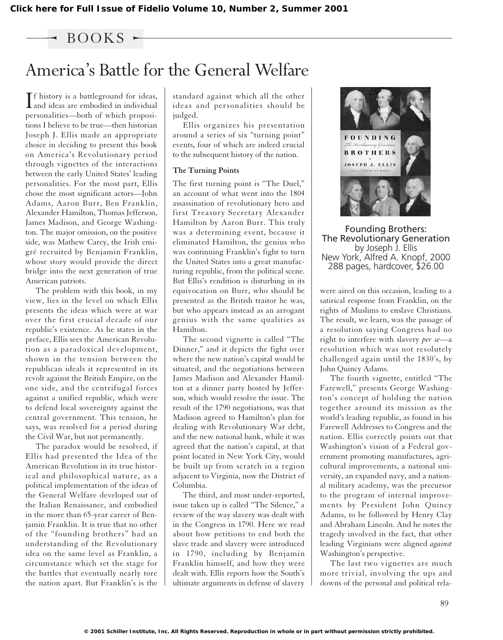### $-$  BOOKS  $-$

# America's Battle for the General Welfare

If history is a battleground for ideas,<br>and ideas are embodied in individual **T**f history is a battleground for ideas, personalities—both of which propositions I believe to be true—then historian Joseph J. Ellis made an appropriate choice in deciding to present this book on America's Revolutionary period through vignettes of the interactions between the early United States' leading personalities. For the most part, Ellis chose the most significant actors—John Adams, Aaron Burr, Ben Franklin, Alexander Hamilton, Thomas Jefferson, James Madison, and George Washington. The major omission, on the positive side, was Mathew Carey, the Irish emigré recruited by Benjamin Franklin, whose story would provide the direct bridge into the next generation of true American patriots.

The problem with this book, in my view, lies in the level on which Ellis presents the ideas which were at war over the first crucial decade of our republic's existence. As he states in the preface, Ellis sees the American Revolution as a paradoxical development, shown in the tension between the republican ideals it represented in its revolt against the British Empire, on the one side, and the centrifugal forces against a unified republic, which were to defend local sovereignty against the central government. This tension, he says, was resolved for a period during the Civil War, but not permanently.

The paradox would be resolved, if Ellis had presented the Idea of the American Revolution in its true historical and philosophical nature, as a political implementation of the ideas of the General Welfare developed out of the Italian Renaissance, and embodied in the more than 65-year career of Benjamin Franklin. It is true that no other of the "founding brothers" had an understanding of the Revolutionary idea on the same level as Franklin, a circumstance which set the stage for the battles that eventually nearly tore the nation apart. But Franklin's is the

standard against which all the other ideas and personalities should be judged.

Ellis organizes his presentation around a series of six "turning point" events, four of which are indeed crucial to the subsequent history of the nation.

#### **The Turning Points**

The first turning point is "The Duel," an account of what went into the 1804 assassination of revolutionary hero and first Treasury Secretary Alexander Hamilton by Aaron Burr. This truly was a determining event, because it eliminated Hamilton, the genius who was continuing Franklin's fight to turn the United States into a great manufacturing republic, from the political scene. But Ellis's rendition is disturbing in its equivocation on Burr, who should be presented as the British traitor he was, but who appears instead as an arrogant genius with the same qualities as Hamilton.

The second vignette is called "The Dinner," and it depicts the fight over where the new nation's capital would be situated, and the negotiations between James Madison and Alexander Hamilton at a dinner party hosted by Jefferson, which would resolve the issue. The result of the 1790 negotiations, was that Madison agreed to Hamilton's plan for dealing with Revolutionary War debt, and the new national bank, while it was agreed that the nation's capital, at that point located in New York City, would be built up from scratch in a region adjacent to Virginia, now the District of Columbia.

The third, and most under-reported, issue taken up is called "The Silence," a review of the way slavery was dealt with in the Congress in 1790. Here we read about how petitions to end both the slave trade and slavery were introduced in 1790, including by Benjamin Franklin himself, and how they were dealt with. Ellis reports how the South's ultimate arguments in defense of slavery



Founding Brothers: The Revolutionary Generation by Joseph J. Ellis New York, Alfred A. Knopf, 2000 288 pages, hardcover, \$26.00

were aired on this occasion, leading to a satirical response from Franklin, on the rights of Muslims to enslave Christians. The result, we learn, was the passage of a resolution saying Congress had no right to interfere with slavery *per se*—a resolution which was not resolutely challenged again until the 1830's, by John Quincy Adams.

The fourth vignette, entitled "The Farewell," presents George Washington's concept of holding the nation together around its mission as the world's leading republic, as found in his Farewell Addresses to Congress and the nation. Ellis correctly points out that Washington's vision of a Federal government promoting manufactures, agricultural improvements, a national university, an expanded navy, and a national military academy, was the precursor to the program of internal improvements by President John Quincy Adams, to be followed by Henry Clay and Abraham Lincoln. And he notes the tragedy involved in the fact, that other leading Virginians were aligned *against* Washington's perspective.

The last two vignettes are much more trivial, involving the ups and downs of the personal and political rela